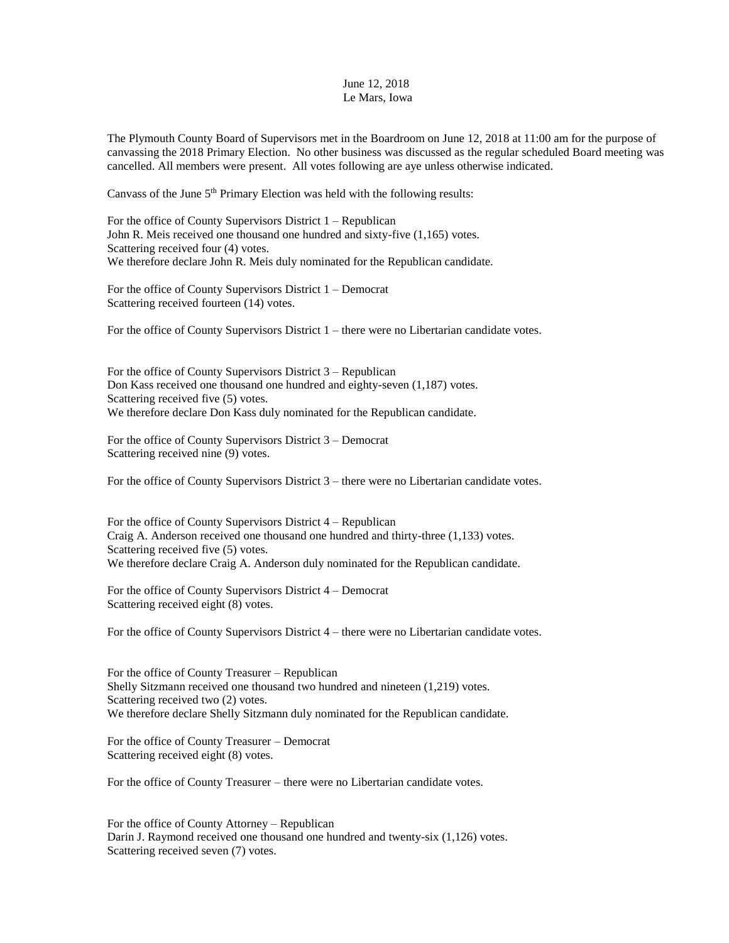## June 12, 2018 Le Mars, Iowa

The Plymouth County Board of Supervisors met in the Boardroom on June 12, 2018 at 11:00 am for the purpose of canvassing the 2018 Primary Election. No other business was discussed as the regular scheduled Board meeting was cancelled. All members were present. All votes following are aye unless otherwise indicated.

Canvass of the June 5<sup>th</sup> Primary Election was held with the following results:

For the office of County Supervisors District 1 – Republican John R. Meis received one thousand one hundred and sixty-five (1,165) votes. Scattering received four (4) votes. We therefore declare John R. Meis duly nominated for the Republican candidate.

For the office of County Supervisors District 1 – Democrat Scattering received fourteen (14) votes.

For the office of County Supervisors District 1 – there were no Libertarian candidate votes.

For the office of County Supervisors District 3 – Republican Don Kass received one thousand one hundred and eighty-seven (1,187) votes. Scattering received five (5) votes. We therefore declare Don Kass duly nominated for the Republican candidate.

For the office of County Supervisors District 3 – Democrat Scattering received nine (9) votes.

For the office of County Supervisors District 3 – there were no Libertarian candidate votes.

For the office of County Supervisors District 4 – Republican Craig A. Anderson received one thousand one hundred and thirty-three (1,133) votes. Scattering received five (5) votes. We therefore declare Craig A. Anderson duly nominated for the Republican candidate.

For the office of County Supervisors District 4 – Democrat Scattering received eight (8) votes.

For the office of County Supervisors District 4 – there were no Libertarian candidate votes.

For the office of County Treasurer – Republican Shelly Sitzmann received one thousand two hundred and nineteen (1,219) votes. Scattering received two (2) votes. We therefore declare Shelly Sitzmann duly nominated for the Republican candidate.

For the office of County Treasurer – Democrat Scattering received eight (8) votes.

For the office of County Treasurer – there were no Libertarian candidate votes.

For the office of County Attorney – Republican Darin J. Raymond received one thousand one hundred and twenty-six (1,126) votes. Scattering received seven (7) votes.